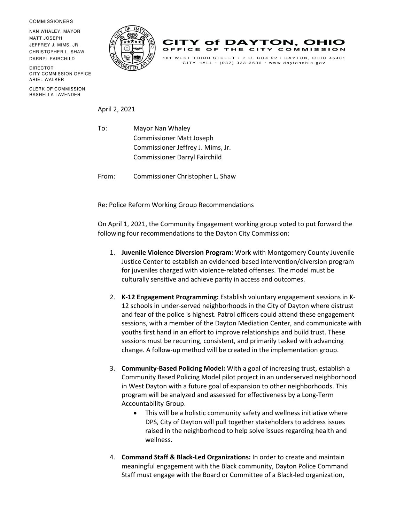**COMMISSIONERS** 

NAN WHALEY, MAYOR **MATT JOSEPH** JEFFREY J. MIMS, JR. CHRISTOPHER L. SHAW DARRYL FAIRCHILD

**DIRECTOR** CITY COMMISSION OFFICE ARIEL WALKER

**CLERK OF COMMISSION** RASHELLA LAVENDER





 $CITY$  HALL  $\cdot$  (937) 333-3636  $\cdot$  www.daytonohio.gov

April 2, 2021

To: Mayor Nan Whaley Commissioner Matt Joseph Commissioner Jeffrey J. Mims, Jr. Commissioner Darryl Fairchild

From: Commissioner Christopher L. Shaw

Re: Police Reform Working Group Recommendations

On April 1, 2021, the Community Engagement working group voted to put forward the following four recommendations to the Dayton City Commission:

- 1. **Juvenile Violence Diversion Program:** Work with Montgomery County Juvenile Justice Center to establish an evidenced-based intervention/diversion program for juveniles charged with violence-related offenses. The model must be culturally sensitive and achieve parity in access and outcomes.
- 2. **K-12 Engagement Programming:** Establish voluntary engagement sessions in K-12 schools in under-served neighborhoods in the City of Dayton where distrust and fear of the police is highest. Patrol officers could attend these engagement sessions, with a member of the Dayton Mediation Center, and communicate with youths first hand in an effort to improve relationships and build trust. These sessions must be recurring, consistent, and primarily tasked with advancing change. A follow-up method will be created in the implementation group.
- 3. **Community-Based Policing Model:** With a goal of increasing trust, establish a Community Based Policing Model pilot project in an underserved neighborhood in West Dayton with a future goal of expansion to other neighborhoods. This program will be analyzed and assessed for effectiveness by a Long-Term Accountability Group.
	- This will be a holistic community safety and wellness initiative where DPS, City of Dayton will pull together stakeholders to address issues raised in the neighborhood to help solve issues regarding health and wellness.
- 4. **Command Staff & Black-Led Organizations:** In order to create and maintain meaningful engagement with the Black community, Dayton Police Command Staff must engage with the Board or Committee of a Black-led organization,